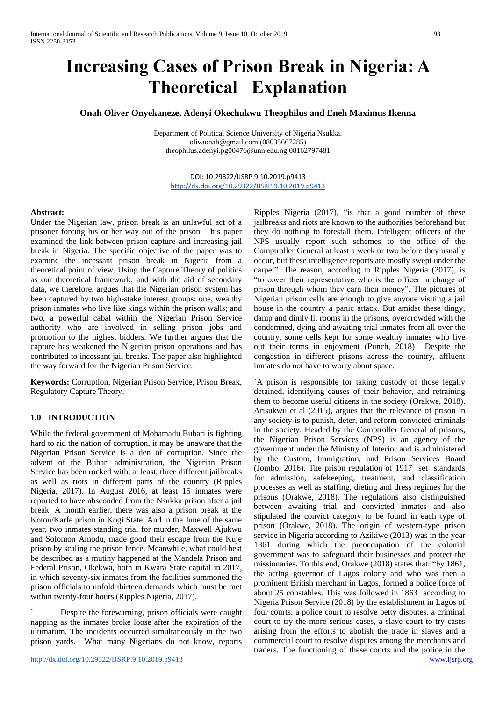# **Increasing Cases of Prison Break in Nigeria: A Theoretical Explanation**

## **Onah Oliver Onyekaneze, Adenyi Okechukwu Theophilus and Eneh Maximus Ikenna**

Department of Political Science University of Nigeria Nsukka. [olivaonah@gmail.com](mailto:olivaonah@gmail.com) (08035667285) [theophilus.adenyi.pg00476@unn.edu.ng](mailto:theophilus.adenyi.pg00476@unn.edu.ng) 08162797481

DOI: 10.29322/IJSRP.9.10.2019.p9413 <http://dx.doi.org/10.29322/IJSRP.9.10.2019.p9413>

#### **Abstract:**

Under the Nigerian law, prison break is an unlawful act of a prisoner forcing his or her way out of the prison. This paper examined the link between prison capture and increasing jail break in Nigeria. The specific objective of the paper was to examine the incessant prison break in Nigeria from a theoretical point of view. Using the Capture Theory of politics as our theoretical framework, and with the aid of secondary data, we therefore, argues that the Nigerian prison system has been captured by two high-stake interest groups: one, wealthy prison inmates who live like kings within the prison walls; and two, a powerful cabal within the Nigerian Prison Service authority who are involved in selling prison jobs and promotion to the highest bidders. We further argues that the capture has weakened the Nigerian prison operations and has contributed to incessant jail breaks. The paper also highlighted the way forward for the Nigerian Prison Service.

**Keywords:** Corruption, Nigerian Prison Service, Prison Break, Regulatory Capture Theory.

#### **1.0 INTRODUCTION**

While the federal government of Mohamadu Buhari is fighting hard to rid the nation of corruption, it may be unaware that the Nigerian Prison Service is a den of corruption. Since the advent of the Buhari administration, the Nigerian Prison Service has been rocked with, at least, three different jailbreaks as well as riots in different parts of the country (Ripples Nigeria, 2017). In August 2016, at least 15 inmates were reported to have absconded from the Nsukka prison after a jail break. A month earlier, there was also a prison break at the Koton/Karfe prison in Kogi State. And in the June of the same year, two inmates standing trial for murder, Maxwell Ajukwu and Solomon Amodu, made good their escape from the Kuje prison by scaling the prison fence. Meanwhile, what could best be described as a mutiny happened at the Mandela Prison and Federal Prison, Okekwa, both in Kwara State capital in 2017, in which seventy-six inmates from the facilities summoned the prison officials to unfold thirteen demands which must be met within twenty-four hours (Ripples Nigeria, 2017).

Despite the forewarning, prison officials were caught napping as the inmates broke loose after the expiration of the ultimatum. The incidents occurred simultaneously in the two prison yards. What many Nigerians do not know, reports Ripples Nigeria (2017), "is that a good number of these jailbreaks and riots are known to the authorities beforehand but they do nothing to forestall them. Intelligent officers of the NPS usually report such schemes to the office of the Comptroller General at least a week or two before they usually occur, but these intelligence reports are mostly swept under the carpet". The reason, according to Ripples Nigeria (2017), is "to cover their representative who is the officer in charge of prison through whom they earn their money". The pictures of Nigerian prison cells are enough to give anyone visiting a jail house in the country a panic attack. But amidst these dingy, damp and dimly lit rooms in the prisons, overcrowded with the condemned, dying and awaiting trial inmates from all over the country, some cells kept for some wealthy inmates who live out their terms in enjoyment (Punch, 2018) Despite the congestion in different prisons across the country, affluent inmates do not have to worry about space.

`A prison is responsible for taking custody of those legally detained, identifying causes of their behavior, and retraining them to become useful citizens in the society (Orakwe, 2018). Arisukwu et al (2015), argues that the relevance of prison in any society is to punish, deter, and reform convicted criminals in the society. Headed by the Comptroller General of prisons, the Nigerian Prison Services (NPS) is an agency of the government under the Ministry of Interior and is administered by the Custom, Immigration, and Prison Services Board (Jombo, 2016). The prison regulation of 1917 set standards for admission, safekeeping, treatment, and classification processes as well as staffing, dieting and dress regimes for the prisons (Orakwe, 2018). The regulations also distinguished between awaiting trial and convicted inmates and also stipulated the convict category to be found in each type of prison (Orakwe, 2018). The origin of western-type prison service in Nigeria according to Azikiwe (2013) was in the year 1861 during which the preoccupation of the colonial government was to safeguard their businesses and protect the missionaries. To this end, Orakwe (2018) states that: "by 1861, the acting governor of Lagos colony and who was then a prominent British merchant in Lagos, formed a police force of about 25 constables. This was followed in 1863 according to Nigeria Prison Service (2018) by the establishment in Lagos of four courts: a police court to resolve petty disputes, a criminal court to try the more serious cases, a slave court to try cases arising from the efforts to abolish the trade in slaves and a commercial court to resolve disputes among the merchants and traders. The functioning of these courts and the police in the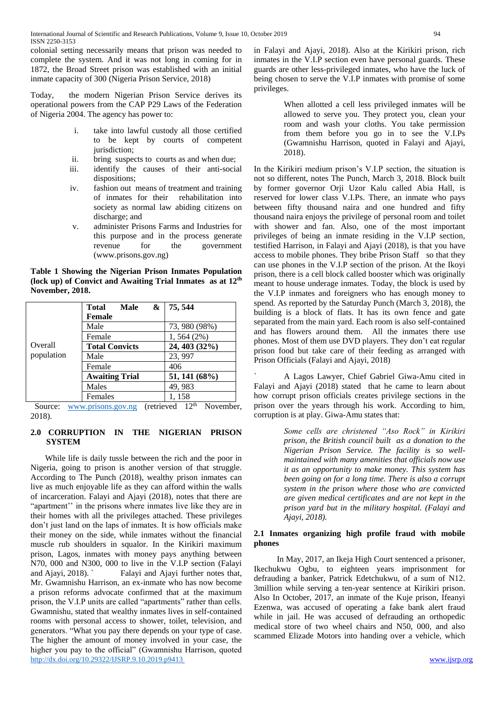colonial setting necessarily means that prison was needed to complete the system. And it was not long in coming for in 1872, the Broad Street prison was established with an initial inmate capacity of 300 (Nigeria Prison Service, 2018)

Today, the modern Nigerian Prison Service derives its operational powers from the CAP P29 Laws of the Federation of Nigeria 2004. The agency has power to:

- i. take into lawful custody all those certified to be kept by courts of competent jurisdiction;
- ii. bring suspects to courts as and when due;
- iii. identify the causes of their anti-social dispositions;
- iv. fashion out means of treatment and training of inmates for their rehabilitation into society as normal law abiding citizens on discharge; and
- v. administer Prisons Farms and Industries for this purpose and in the process generate revenue for the government (www.prisons.gov.ng)

**Table 1 Showing the Nigerian Prison Inmates Population (lock up) of Convict and Awaiting Trial Inmates as at 12th November, 2018.**

| Overall<br>population | $\boldsymbol{\&}$<br><b>Male</b><br>Total<br>Female | 75, 544       |
|-----------------------|-----------------------------------------------------|---------------|
|                       | Male                                                | 73, 980 (98%) |
|                       | Female                                              | 1,564(2%)     |
|                       | <b>Total Convicts</b>                               | 24, 403 (32%) |
|                       | Male                                                | 23, 997       |
|                       | Female                                              | 406           |
|                       | <b>Awaiting Trial</b>                               | 51, 141 (68%) |
|                       | Males                                               | 49,983        |
|                       | Females                                             | 1,158         |

Source: [www.prisons.gov.ng](http://www.prisons.gov.ng/) (retrieved 12<sup>th</sup> November, 2018).

# **2.0 CORRUPTION IN THE NIGERIAN PRISON SYSTEM**

<http://dx.doi.org/10.29322/IJSRP.9.10.2019.p9413> [www.ijsrp.org](http://ijsrp.org/) While life is daily tussle between the rich and the poor in Nigeria, going to prison is another version of that struggle. According to The Punch (2018), wealthy prison inmates can live as much enjoyable life as they can afford within the walls of incarceration. Falayi and Ajayi (2018), notes that there are "apartment'' in the prisons where inmates live like they are in their homes with all the privileges attached. These privileges don't just land on the laps of inmates. It is how officials make their money on the side, while inmates without the financial muscle rub shoulders in squalor. In the Kirikiri maximum prison, Lagos, inmates with money pays anything between N70, 000 and N300, 000 to live in the V.I.P section (Falayi and Ajayi, 2018). ` Falayi and Ajayi further notes that, Mr. Gwamnishu Harrison, an ex-inmate who has now become a prison reforms advocate confirmed that at the maximum prison, the V.I.P units are called "apartments" rather than cells. Gwamnishu, stated that wealthy inmates lives in self-contained rooms with personal access to shower, toilet, television, and generators. "What you pay there depends on your type of case. The higher the amount of money involved in your case, the higher you pay to the official" (Gwamnishu Harrison, quoted

in Falayi and Ajayi, 2018). Also at the Kirikiri prison, rich inmates in the V.I.P section even have personal guards. These guards are other less-privileged inmates, who have the luck of being chosen to serve the V.I.P inmates with promise of some privileges.

> When allotted a cell less privileged inmates will be allowed to serve you. They protect you, clean your room and wash your cloths. You take permission from them before you go in to see the V.I.Ps (Gwamnishu Harrison, quoted in Falayi and Ajayi, 2018).

In the Kirikiri medium prison's V.I.P section, the situation is not so different, notes The Punch, March 3, 2018. Block built by former governor Orji Uzor Kalu called Abia Hall, is reserved for lower class V.I.Ps. There, an inmate who pays between fifty thousand naira and one hundred and fifty thousand naira enjoys the privilege of personal room and toilet with shower and fan. Also, one of the most important privileges of being an inmate residing in the V.I.P section, testified Harrison, in Falayi and Ajayi (2018), is that you have access to mobile phones. They bribe Prison Staff so that they can use phones in the V.I.P section of the prison. At the Ikoyi prison, there is a cell block called booster which was originally meant to house underage inmates. Today, the block is used by the V.I.P inmates and foreigners who has enough money to spend. As reported by the Saturday Punch (March 3, 2018), the building is a block of flats. It has its own fence and gate separated from the main yard. Each room is also self-contained and has flowers around them. All the inmates there use phones. Most of them use DVD players. They don't eat regular prison food but take care of their feeding as arranged with Prison Officials (Falayi and Ajayi, 2018)

` A Lagos Lawyer, Chief Gabriel Giwa-Amu cited in Falayi and Ajayi (2018) stated that he came to learn about how corrupt prison officials creates privilege sections in the prison over the years through his work. According to him, corruption is at play. Giwa-Amu states that:

> *Some cells are christened "Aso Rock" in Kirikiri prison, the British council built as a donation to the Nigerian Prison Service. The facility is so wellmaintained with many amenities that officials now use it as an opportunity to make money. This system has been going on for a long time. There is also a corrupt system in the prison where those who are convicted are given medical certificates and are not kept in the prison yard but in the military hospital. (Falayi and Ajayi, 2018).*

## **2.1 Inmates organizing high profile fraud with mobile phones**

 In May, 2017, an Ikeja High Court sentenced a prisoner, Ikechukwu Ogbu, to eighteen years imprisonment for defrauding a banker, Patrick Edetchukwu, of a sum of N12. 3million while serving a ten-year sentence at Kirikiri prison. Also In October, 2017, an inmate of the Kuje prison, Ifeanyi Ezenwa, was accused of operating a fake bank alert fraud while in jail. He was accused of defrauding an orthopedic medical store of two wheel chairs and N50, 000, and also scammed Elizade Motors into handing over a vehicle, which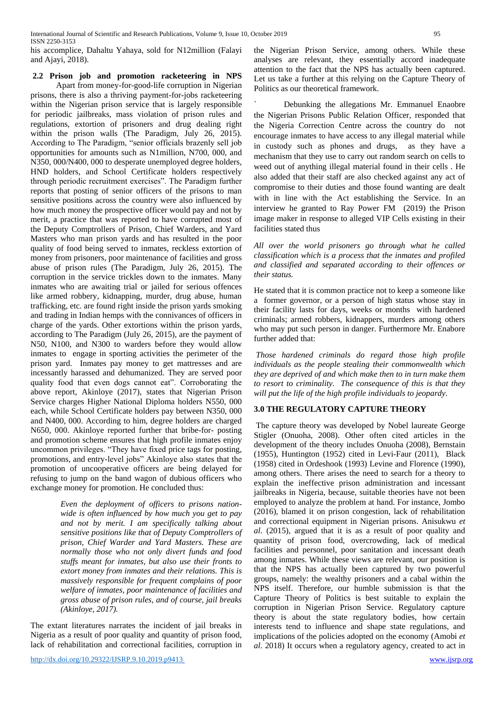his accomplice, Dahaltu Yahaya, sold for N12million (Falayi and Ajayi, 2018).

**2.2 Prison job and promotion racketeering in NPS**  . Apart from money-for-good-life corruption in Nigerian prisons, there is also a thriving payment-for-jobs racketeering within the Nigerian prison service that is largely responsible for periodic jailbreaks, mass violation of prison rules and regulations, extortion of prisoners and drug dealing right within the prison walls (The Paradigm, July 26, 2015). According to The Paradigm, "senior officials brazenly sell job opportunities for amounts such as N1million, N700, 000, and N350, 000/N400, 000 to desperate unemployed degree holders, HND holders, and School Certificate holders respectively through periodic recruitment exercises". The Paradigm further reports that posting of senior officers of the prisons to man sensitive positions across the country were also influenced by how much money the prospective officer would pay and not by merit, a practice that was reported to have corrupted most of the Deputy Comptrollers of Prison, Chief Warders, and Yard Masters who man prison yards and has resulted in the poor quality of food being served to inmates, reckless extortion of money from prisoners, poor maintenance of facilities and gross abuse of prison rules (The Paradigm, July 26, 2015). The corruption in the service trickles down to the inmates. Many inmates who are awaiting trial or jailed for serious offences like armed robbery, kidnapping, murder, drug abuse, human trafficking, etc. are found right inside the prison yards smoking and trading in Indian hemps with the connivances of officers in charge of the yards. Other extortions within the prison yards, according to The Paradigm (July 26, 2015), are the payment of N50, N100, and N300 to warders before they would allow inmates to engage in sporting activities the perimeter of the prison yard. Inmates pay money to get mattresses and are incessantly harassed and dehumanized. They are served poor quality food that even dogs cannot eat". Corroborating the above report, Akinloye (2017), states that Nigerian Prison Service charges Higher National Diploma holders N550, 000 each, while School Certificate holders pay between N350, 000 and N400, 000. According to him, degree holders are charged N650, 000. Akinloye reported further that bribe-for- posting and promotion scheme ensures that high profile inmates enjoy uncommon privileges. "They have fixed price tags for posting, promotions, and entry-level jobs" Akinloye also states that the promotion of uncooperative officers are being delayed for refusing to jump on the band wagon of dubious officers who exchange money for promotion. He concluded thus:

> *Even the deployment of officers to prisons nationwide is often influenced by how much you get to pay and not by merit. I am specifically talking about sensitive positions like that of Deputy Comptrollers of prison, Chief Warder and Yard Masters. These are normally those who not only divert funds and food stuffs meant for inmates, but also use their fronts to extort money from inmates and their relations. This is massively responsible for frequent complains of poor welfare of inmates, poor maintenance of facilities and gross abuse of prison rules, and of course, jail breaks (Akinloye, 2017).*

The extant literatures narrates the incident of jail breaks in Nigeria as a result of poor quality and quantity of prison food, lack of rehabilitation and correctional facilities, corruption in the Nigerian Prison Service, among others. While these analyses are relevant, they essentially accord inadequate attention to the fact that the NPS has actually been captured. Let us take a further at this relying on the Capture Theory of Politics as our theoretical framework.

` Debunking the allegations Mr. Emmanuel Enaobre the Nigerian Prisons Public Relation Officer, responded that the Nigeria Correction Centre across the country do not encourage inmates to have access to any illegal material while in custody such as phones and drugs, as they have a mechanism that they use to carry out random search on cells to weed out of anything illegal material found in their cells . He also added that their staff are also checked against any act of compromise to their duties and those found wanting are dealt with in line with the Act establishing the Service. In an interview he granted to Ray Power FM (2019) the Prison image maker in response to alleged VIP Cells existing in their facilities stated thus

*All over the world prisoners go through what he called classification which is a process that the inmates and profiled and classified and separated according to their offences or their status.* 

He stated that it is common practice not to keep a someone like a former governor, or a person of high status whose stay in their facility lasts for days, weeks or months with hardened criminals; armed robbers, kidnappers, murders among others who may put such person in danger. Furthermore Mr. Enabore further added that:

*Those hardened criminals do regard those high profile individuals as the people stealing their commonwealth which they are deprived of and which make then to in turn make them to resort to criminality. The consequence of this is that they will put the life of the high profile individuals to jeopardy.*

#### **3.0 THE REGULATORY CAPTURE THEORY**

The capture theory was developed by Nobel laureate George Stigler (Onuoha, 2008). Other often cited articles in the development of the theory includes Onuoha (2008), Bernstain (1955), Huntington (1952) cited in Levi-Faur (2011), Black (1958) cited in Ordeshook (1993) Levine and Florence (1990), among others. There arises the need to search for a theory to explain the ineffective prison administration and incessant jailbreaks in Nigeria, because, suitable theories have not been employed to analyze the problem at hand. For instance, Jombo (2016), blamed it on prison congestion, lack of rehabilitation and correctional equipment in Nigerian prisons. Anisukwu *et al*. (2015), argued that it is as a result of poor quality and quantity of prison food, overcrowding, lack of medical facilities and personnel, poor sanitation and incessant death among inmates. While these views are relevant, our position is that the NPS has actually been captured by two powerful groups, namely: the wealthy prisoners and a cabal within the NPS itself. Therefore, our humble submission is that the Capture Theory of Politics is best suitable to explain the corruption in Nigerian Prison Service. Regulatory capture theory is about the state regulatory bodies, how certain interests tend to influence and shape state regulations, and implications of the policies adopted on the economy (Amobi *et al*. 2018) It occurs when a regulatory agency, created to act in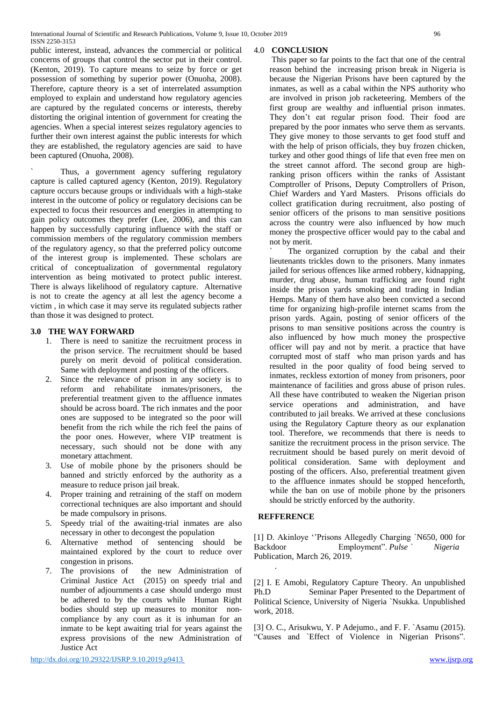public interest, instead, advances the commercial or political concerns of groups that control the sector put in their control. (Kenton, 2019). To capture means to seize by force or get possession of something by superior power (Onuoha, 2008). Therefore, capture theory is a set of interrelated assumption employed to explain and understand how regulatory agencies are captured by the regulated concerns or interests, thereby distorting the original intention of government for creating the agencies. When a special interest seizes regulatory agencies to further their own interest against the public interests for which they are established, the regulatory agencies are said to have been captured (Onuoha, 2008).

Thus, a government agency suffering regulatory capture is called captured agency (Kenton, 2019). Regulatory capture occurs because groups or individuals with a high-stake interest in the outcome of policy or regulatory decisions can be expected to focus their resources and energies in attempting to gain policy outcomes they prefer (Lee, 2006), and this can happen by successfully capturing influence with the staff or commission members of the regulatory commission members of the regulatory agency, so that the preferred policy outcome of the interest group is implemented. These scholars are critical of conceptualization of governmental regulatory intervention as being motivated to protect public interest. There is always likelihood of regulatory capture. Alternative is not to create the agency at all lest the agency become a victim , in which case it may serve its regulated subjects rather than those it was designed to protect.

#### **3.0 THE WAY FORWARD**

- 1. There is need to sanitize the recruitment process in the prison service. The recruitment should be based purely on merit devoid of political consideration. Same with deployment and posting of the officers.
- 2. Since the relevance of prison in any society is to reform and rehabilitate inmates/prisoners, the preferential treatment given to the affluence inmates should be across board. The rich inmates and the poor ones are supposed to be integrated so the poor will benefit from the rich while the rich feel the pains of the poor ones. However, where VIP treatment is necessary, such should not be done with any monetary attachment.
- 3. Use of mobile phone by the prisoners should be banned and strictly enforced by the authority as a measure to reduce prison jail break.
- 4. Proper training and retraining of the staff on modern correctional techniques are also important and should be made compulsory in prisons.
- 5. Speedy trial of the awaiting-trial inmates are also necessary in other to decongest the population
- 6. Alternative method of sentencing should be maintained explored by the court to reduce over congestion in prisons.
- 7. The provisions of the new Administration of Criminal Justice Act (2015) on speedy trial and number of adjournments a case should undergo must be adhered to by the courts while Human Right bodies should step up measures to monitor noncompliance by any court as it is inhuman for an inmate to be kept awaiting trial for years against the express provisions of the new Administration of Justice Act

with the help of prison officials, they buy frozen chicken, turkey and other good things of life that even free men on the street cannot afford. The second group are highranking prison officers within the ranks of Assistant Comptroller of Prisons, Deputy Comptrollers of Prison, Chief Warders and Yard Masters. Prisons officials do collect gratification during recruitment, also posting of senior officers of the prisons to man sensitive positions across the country were also influenced by how much money the prospective officer would pay to the cabal and not by merit.

This paper so far points to the fact that one of the central reason behind the increasing prison break in Nigeria is because the Nigerian Prisons have been captured by the inmates, as well as a cabal within the NPS authority who are involved in prison job racketeering. Members of the first group are wealthy and influential prison inmates. They don't eat regular prison food. Their food are prepared by the poor inmates who serve them as servants. They give money to those servants to get food stuff and

The organized corruption by the cabal and their lieutenants trickles down to the prisoners. Many inmates jailed for serious offences like armed robbery, kidnapping, murder, drug abuse, human trafficking are found right inside the prison yards smoking and trading in Indian Hemps. Many of them have also been convicted a second time for organizing high-profile internet scams from the prison yards. Again, posting of senior officers of the prisons to man sensitive positions across the country is also influenced by how much money the prospective officer will pay and not by merit. a practice that have corrupted most of staff who man prison yards and has resulted in the poor quality of food being served to inmates, reckless extortion of money from prisoners, poor maintenance of facilities and gross abuse of prison rules. All these have contributed to weaken the Nigerian prison service operations and administration, and have contributed to jail breaks. We arrived at these conclusions using the Regulatory Capture theory as our explanation tool. Therefore, we recommends that there is needs to sanitize the recruitment process in the prison service. The recruitment should be based purely on merit devoid of political consideration. Same with deployment and posting of the officers. Also, preferential treatment given to the affluence inmates should be stopped henceforth, while the ban on use of mobile phone by the prisoners should be strictly enforced by the authority.

#### **REFFERENCE**

. .

4.0 **CONCLUSION** 

[1] D. Akinloye ''Prisons Allegedly Charging `N650, 000 for Backdoor . Employment". *Pulse ` Nigeria* Publication, March 26, 2019.

[2] I. E Amobi, Regulatory Capture Theory. An unpublished Ph.D Seminar Paper Presented to the Department of Political Science, University of Nigeria `Nsukka. Unpublished work, 2018.

[3] O. C., Arisukwu, Y. P Adejumo., and F. F. `Asamu (2015). "Causes and `Effect of Violence in Nigerian Prisons".